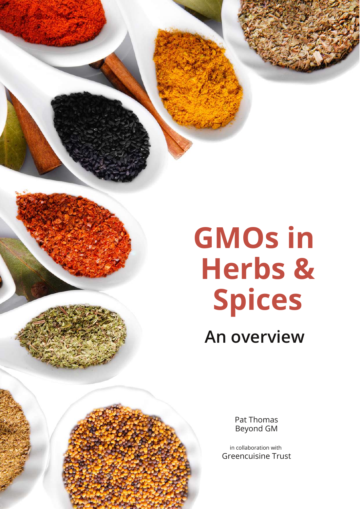**GMOs in Herbs & Spices**

**An overview**

Pat Thomas Beyond GM

in collaboration with Greencuisine Trust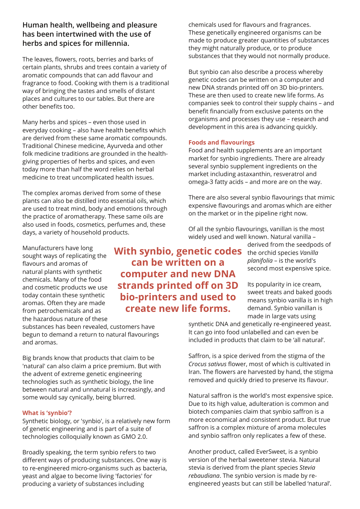## **Human health, wellbeing and pleasure has been intertwined with the use of herbs and spices for millennia.**

The leaves, flowers, roots, berries and barks of certain plants, shrubs and trees contain a variety of aromatic compounds that can add flavour and fragrance to food. Cooking with them is a traditional way of bringing the tastes and smells of distant places and cultures to our tables. But there are other benefits too.

Many herbs and spices – even those used in everyday cooking – also have health benefits which are derived from these same aromatic compounds. Traditional Chinese medicine, Ayurveda and other folk medicine traditions are grounded in the healthgiving properties of herbs and spices, and even today more than half the word relies on herbal medicine to treat uncomplicated health issues.

The complex aromas derived from some of these plants can also be distilled into essential oils, which are used to treat mind, body and emotions through the practice of aromatherapy. These same oils are also used in foods, cosmetics, perfumes and, these days, a variety of household products.

Manufacturers have long sought ways of replicating the flavours and aromas of natural plants with synthetic chemicals. Many of the food and cosmetic products we use today contain these synthetic aromas. Often they are made from petrochemicals and as the hazardous nature of these

substances has been revealed, customers have begun to demand a return to natural flavourings and aromas.

Big brands know that products that claim to be 'natural' can also claim a price premium. But with the advent of extreme genetic engineering technologies such as synthetic biology, the line between natural and unnatural is increasingly, and some would say cynically, being blurred.

### **What is 'synbio'?**

Synthetic biology, or 'synbio', is a relatively new form of genetic engineering and is part of a suite of technologies colloquially known as GMO 2.0.

Broadly speaking, the term synbio refers to two different ways of producing substances. One way is to re-engineered micro-organisms such as bacteria, yeast and algae to become living 'factories' for producing a variety of substances including

**With synbio, genetic codes can be written on a computer and new DNA strands printed off on 3D bio-printers and used to create new life forms.**

chemicals used for flavours and fragrances. These genetically engineered organisms can be made to produce greater quantities of substances they might naturally produce, or to produce substances that they would not normally produce.

But synbio can also describe a process whereby genetic codes can be written on a computer and new DNA strands printed off on 3D bio-printers. These are then used to create new life forms. As companies seek to control their supply chains – and benefit financially from exclusive patents on the organisms and processes they use – research and development in this area is advancing quickly.

### **Foods and flavourings**

Food and health supplements are an important market for synbio ingredients. There are already several synbio supplement ingredients on the market including astaxanthin, resveratrol and omega-3 fatty acids – and more are on the way.

There are also several synbio flavourings that mimic expensive flavourings and aromas which are either on the market or in the pipeline right now.

Of all the synbio flavourings, vanillan is the most widely used and well known. Natural vanilla –

derived from the seedpods of the orchid species *Vanilla planifolia* – is the world's second most expensive spice.

Its popularity in ice cream, sweet treats and baked goods means synbio vanilla is in high demand. Synbio vanillan is made in large vats using

synthetic DNA and genetically re-engineered yeast. It can go into food unlabelled and can even be included in products that claim to be 'all natural'.

Saffron, is a spice derived from the stigma of the *Crocus sativus* flower, most of which is cultivated in Iran. The flowers are harvested by hand, the stigma removed and quickly dried to preserve its flavour.

Natural saffron is the world's most expensive spice. Due to its high value, adulteration is common and biotech companies claim that synbio saffron is a more economical and consistent product. But true saffron is a complex mixture of aroma molecules and synbio saffron only replicates a few of these.

Another product, called EverSweet, is a synbio version of the herbal sweetener stevia. Natural stevia is derived from the plant species *Stevia rebaudiana*. The synbio version is made by reengineered yeasts but can still be labelled 'natural'.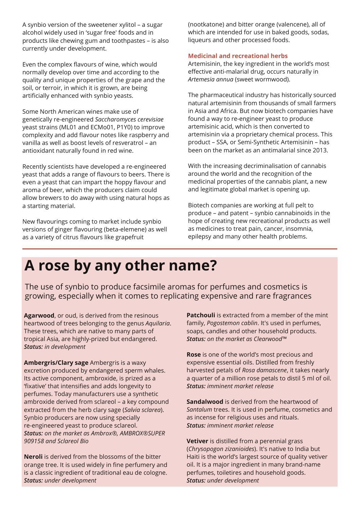A synbio version of the sweetener xylitol – a sugar alcohol widely used in 'sugar free' foods and in products like chewing gum and toothpastes – is also currently under development.

Even the complex flavours of wine, which would normally develop over time and according to the quality and unique properties of the grape and the soil, or terroir, in which it is grown, are being artificially enhanced with synbio yeasts.

Some North American wines make use of genetically re-engineered *Saccharomyces cerevisiae* yeast strains (ML01 and ECMo01, P1Y0) to improve complexity and add flavour notes like raspberry and vanilla as well as boost levels of resveratrol – an antioxidant naturally found in red wine.

Recently scientists have developed a re-engineered yeast that adds a range of flavours to beers. There is even a yeast that can impart the hoppy flavour and aroma of beer, which the producers claim could allow brewers to do away with using natural hops as a starting material.

New flavourings coming to market include synbio versions of ginger flavouring (beta-elemene) as well as a variety of citrus flavours like grapefruit

(nootkatone) and bitter orange (valencene), all of which are intended for use in baked goods, sodas, liqueurs and other processed foods.

### **Medicinal and recreational herbs**

Artemisinin, the key ingredient in the world's most effective anti-malarial drug, occurs naturally in *Artemesia annua* (sweet wormwood).

The pharmaceutical industry has historically sourced natural artemisinin from thousands of small farmers in Asia and Africa. But now biotech companies have found a way to re-engineer yeast to produce artemisinic acid, which is then converted to artemisinin via a proprietary chemical process. This product – SSA, or Semi-Synthetic Artemisinin – has been on the market as an antimalarial since 2013.

With the increasing decriminalisation of cannabis around the world and the recognition of the medicinal properties of the cannabis plant, a new and legitimate global market is opening up.

Biotech companies are working at full pelt to produce – and patent – synbio cannabinoids in the hope of creating new recreational products as well as medicines to treat pain, cancer, insomnia, epilepsy and many other health problems.

# **A rose by any other name?**

The use of synbio to produce facsimile aromas for perfumes and cosmetics is growing, especially when it comes to replicating expensive and rare fragrances

**Agarwood**, or oud, is derived from the resinous heartwood of trees belonging to the genus *Aquilaria*. These trees, which are native to many parts of tropical Asia, are highly-prized but endangered. *Status: in development*

**Ambergris/Clary sage** Ambergris is a waxy excretion produced by endangered sperm whales. Its active component, ambroxide, is prized as a 'fixative' that intensifies and adds longevity to perfumes. Today manufacturers use a synthetic ambroxide derived from sclareol – a key compound extracted from the herb clary sage (*Salvia sclarea*). Synbio producers are now using specially re-engineered yeast to produce sclareol. *Status: on the market as Ambrox®, AMBROX®SUPER 909158 and Sclareol Bio*

**Neroli** is derived from the blossoms of the bitter orange tree. It is used widely in fine perfumery and is a classic ingredient of traditional eau de cologne. *Status: under development*

**Patchouli** is extracted from a member of the mint family, *Pogostemon cablin*. It's used in perfumes, soaps, candles and other household products. *Status: on the market as Clearwood™*

**Rose** is one of the world's most precious and expensive essential oils. Distilled from freshly harvested petals of *Rosa damascene*, it takes nearly a quarter of a million rose petals to distil 5 ml of oil. *Status: imminent market release*

**Sandalwood** is derived from the heartwood of *Santalum* trees. It is used in perfume, cosmetics and as incense for religious uses and rituals. *Status: imminent market release*

**Vetiver** is distilled from a perennial grass (*Chrysopogon zizanioides*). It's native to India but Haiti is the world's largest source of quality vetiver oil. It is a major ingredient in many brand-name perfumes, toiletires and household goods. *Status: under development*